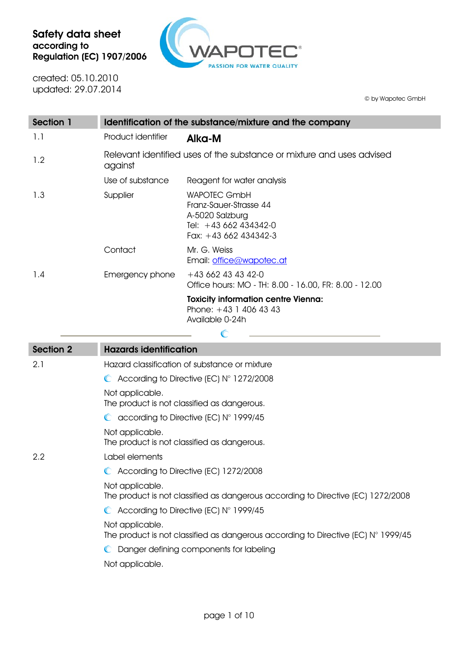

created: 05.10.2010 updated: 29.07.2014

© by Wapotec GmbH

| <b>Section 1</b> | Identification of the substance/mixture and the company                          |                                                                                                                    |  |
|------------------|----------------------------------------------------------------------------------|--------------------------------------------------------------------------------------------------------------------|--|
| 1.1              | Product identifier                                                               | Alka-M                                                                                                             |  |
| 1.2              | Relevant identified uses of the substance or mixture and uses advised<br>against |                                                                                                                    |  |
|                  | Use of substance                                                                 | Reagent for water analysis                                                                                         |  |
| 1.3              | Supplier                                                                         | <b>WAPOTEC GmbH</b><br>Franz-Sauer-Strasse 44<br>A-5020 Salzburg<br>Tel: +43 662 434342-0<br>Fax: $+43662434342-3$ |  |
|                  | Contact                                                                          | Mr. G. Weiss<br>Email: office@wapotec.at                                                                           |  |
| 1.4              | Emergency phone                                                                  | $+436624343420$<br>Office hours: MO - TH: 8.00 - 16.00, FR: 8.00 - 12.00                                           |  |
|                  |                                                                                  | <b>Toxicity information centre Vienna:</b><br>Phone: $+43$ 1 406 43 43<br>Available 0-24h                          |  |

| <b>Section 2</b> | <b>Hazards identification</b>                                                                                 |
|------------------|---------------------------------------------------------------------------------------------------------------|
| 2.1              | Hazard classification of substance or mixture                                                                 |
|                  | $\bullet$ According to Directive (EC) $N^{\circ}$ 1272/2008                                                   |
|                  | Not applicable.<br>The product is not classified as dangerous.                                                |
|                  | $\bullet$ according to Directive (EC) N° 1999/45                                                              |
|                  | Not applicable.<br>The product is not classified as dangerous.                                                |
| $2.2\phantom{0}$ | Label elements                                                                                                |
|                  | C According to Directive (EC) 1272/2008                                                                       |
|                  | Not applicable.<br>The product is not classified as dangerous according to Directive (EC) 1272/2008           |
|                  | $\bullet$ According to Directive (EC) N° 1999/45                                                              |
|                  | Not applicable.<br>The product is not classified as dangerous according to Directive (EC) $N^{\circ}$ 1999/45 |
|                  | Danger defining components for labeling                                                                       |
|                  | Not applicable.                                                                                               |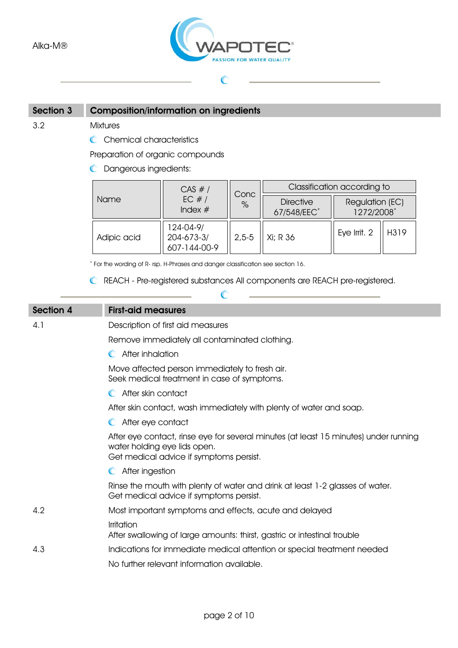

 $\mathbb{C}$ 

### Section 3 Composition/information on ingredients

3.2 Mixtures

C Chemical characteristics

Preparation of organic compounds

**C** Dangerous ingredients:

|             | CAS #/                                  | Conc    | Classification according to     |                               |      |
|-------------|-----------------------------------------|---------|---------------------------------|-------------------------------|------|
| Name        | EC $#/$<br>Index $#$                    | $\%$    | <b>Directive</b><br>67/548/EEC* | Regulation (EC)<br>1272/2008* |      |
| Adipic acid | 124-04-9/<br>204-673-3/<br>607-144-00-9 | $2,5-5$ | Xi; R 36                        | Eye Irrit. 2                  | H319 |

\* For the wording of R- rsp. H-Phrases and danger classification see section 16.

REACH - Pre-registered substances All components are REACH pre-registered.

 $\mathcal C$ 

# Section 4 First-aid measures 4.1 Description of first aid measures Remove immediately all contaminated clothing. **C** After inhalation Move affected person immediately to fresh air. Seek medical treatment in case of symptoms. **C** After skin contact After skin contact, wash immediately with plenty of water and soap. **C** After eye contact After eye contact, rinse eye for several minutes (at least 15 minutes) under running water holding eye lids open. Get medical advice if symptoms persist. **C** After ingestion Rinse the mouth with plenty of water and drink at least 1-2 glasses of water. Get medical advice if symptoms persist. 4.2 Most important symptoms and effects, acute and delayed Irritation After swallowing of large amounts: thirst, gastric or intestinal trouble 4.3 Indications for immediate medical attention or special treatment needed No further relevant information available.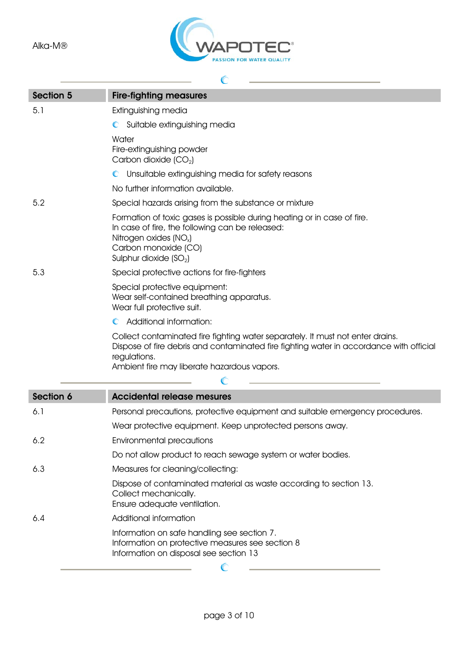

| <b>Section 5</b> | <b>Fire-fighting measures</b>                                                                                                                                                                                                            |
|------------------|------------------------------------------------------------------------------------------------------------------------------------------------------------------------------------------------------------------------------------------|
| 5.1              | Extinguishing media                                                                                                                                                                                                                      |
|                  | Suitable extinguishing media<br>$\mathbb{C}$                                                                                                                                                                                             |
|                  | Water                                                                                                                                                                                                                                    |
|                  | Fire-extinguishing powder<br>Carbon dioxide $(CO2)$                                                                                                                                                                                      |
|                  | Unsuitable extinguishing media for safety reasons<br>$\mathbb{C}$                                                                                                                                                                        |
|                  | No further information available.                                                                                                                                                                                                        |
| 5.2              | Special hazards arising from the substance or mixture                                                                                                                                                                                    |
|                  | Formation of toxic gases is possible during heating or in case of fire.<br>In case of fire, the following can be released:<br>Nitrogen oxides (NO <sub>x</sub> )<br>Carbon monoxide (CO)<br>Sulphur dioxide $(SO2)$                      |
| 5.3              | Special protective actions for fire-fighters                                                                                                                                                                                             |
|                  | Special protective equipment:<br>Wear self-contained breathing apparatus.<br>Wear full protective suit.                                                                                                                                  |
|                  | Additional information:<br>$\mathbb{C}$                                                                                                                                                                                                  |
|                  | Collect contaminated fire fighting water separately. It must not enter drains.<br>Dispose of fire debris and contaminated fire fighting water in accordance with official<br>regulations.<br>Ambient fire may liberate hazardous vapors. |
|                  |                                                                                                                                                                                                                                          |
| Section 6        | <b>Accidental release mesures</b>                                                                                                                                                                                                        |
| 6.1              | Personal precautions, protective equipment and suitable emergency procedures.                                                                                                                                                            |
|                  | Wear protective equipment. Keep unprotected persons away.                                                                                                                                                                                |
| 6.2              | Environmental precautions                                                                                                                                                                                                                |
|                  | Do not allow product to reach sewage system or water bodies.                                                                                                                                                                             |
| 6.3              | Measures for cleaning/collecting:                                                                                                                                                                                                        |
|                  | Dispose of contaminated material as waste according to section 13.<br>Collect mechanically.<br>Ensure adequate ventilation.                                                                                                              |
| 6.4              | Additional information                                                                                                                                                                                                                   |
|                  | Information on safe handling see section 7.<br>Information on protective measures see section 8<br>Information on disposal see section 13                                                                                                |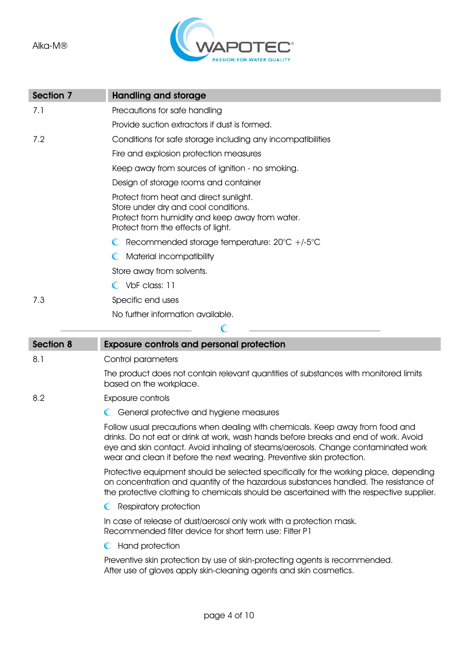

| Section 7        | <b>Handling and storage</b>                                                                                                                                                                                                                                                                                                          |
|------------------|--------------------------------------------------------------------------------------------------------------------------------------------------------------------------------------------------------------------------------------------------------------------------------------------------------------------------------------|
| 7.1              | Precautions for safe handling                                                                                                                                                                                                                                                                                                        |
|                  | Provide suction extractors if dust is formed.                                                                                                                                                                                                                                                                                        |
| 7.2              | Conditions for safe storage including any incompatibilities                                                                                                                                                                                                                                                                          |
|                  | Fire and explosion protection measures                                                                                                                                                                                                                                                                                               |
|                  | Keep away from sources of ignition - no smoking.                                                                                                                                                                                                                                                                                     |
|                  | Design of storage rooms and container                                                                                                                                                                                                                                                                                                |
|                  | Protect from heat and direct sunlight.<br>Store under dry and cool conditions.<br>Protect from humidity and keep away from water.<br>Protect from the effects of light.                                                                                                                                                              |
|                  | $\bullet$ Recommended storage temperature: 20 $\circ$ C +/-5 $\circ$ C                                                                                                                                                                                                                                                               |
|                  | Material incompatibility                                                                                                                                                                                                                                                                                                             |
|                  | Store away from solvents.                                                                                                                                                                                                                                                                                                            |
|                  | C VbF class: 11                                                                                                                                                                                                                                                                                                                      |
| 7.3              | Specific end uses                                                                                                                                                                                                                                                                                                                    |
|                  | No further information available.                                                                                                                                                                                                                                                                                                    |
|                  |                                                                                                                                                                                                                                                                                                                                      |
| <b>Section 8</b> | <b>Exposure controls and personal protection</b>                                                                                                                                                                                                                                                                                     |
| 8.1              | Control parameters                                                                                                                                                                                                                                                                                                                   |
|                  | The product does not contain relevant quantities of substances with monitored limits<br>based on the workplace.                                                                                                                                                                                                                      |
| 8.2              | Exposure controls                                                                                                                                                                                                                                                                                                                    |
|                  | General protective and hygiene measures<br>$\mathbb{C}$                                                                                                                                                                                                                                                                              |
|                  | Follow usual precautions when dealing with chemicals. Keep away from food and<br>drinks. Do not eat or drink at work, wash hands before breaks and end of work. Avoid<br>eye and skin contact. Avoid inhaling of steams/aerosols. Change contaminated work<br>wear and clean it before the next wearing. Preventive skin protection. |
|                  | Protective equipment should be selected specifically for the working place, depending<br>on concentration and quantity of the hazardous substances handled. The resistance of<br>the protective clothing to chemicals should be ascertained with the respective supplier.                                                            |
|                  | <b>C</b> Respiratory protection                                                                                                                                                                                                                                                                                                      |
|                  | In case of release of dust/aerosol only work with a protection mask.<br>Recommended filter device for short term use: Filter P1                                                                                                                                                                                                      |
|                  | C Hand protection                                                                                                                                                                                                                                                                                                                    |
|                  | Preventive skin protection by use of skin-protecting agents is recommended.<br>After use of gloves apply skin-cleaning agents and skin cosmetics.                                                                                                                                                                                    |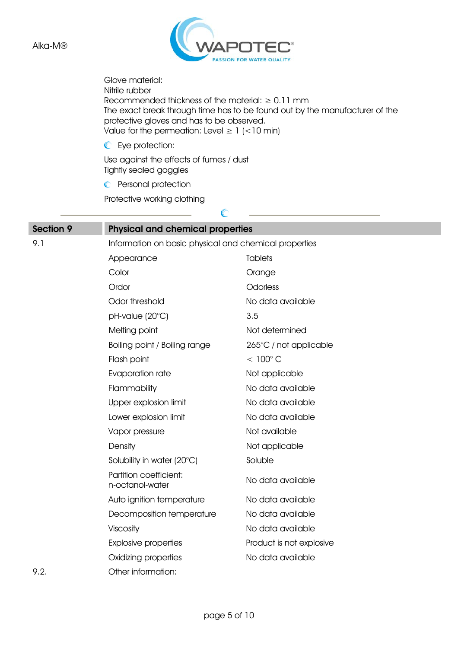

Glove material: Nitrile rubber Recommended thickness of the material:  $\geq 0.11$  mm The exact break through time has to be found out by the manufacturer of the protective gloves and has to be observed. Value for the permeation: Level  $\geq 1$  (<10 min)

Eye protection:

Use against the effects of fumes / dust Tightly sealed goggles

**C** Personal protection

Protective working clothing

| <b>Section 9</b> | <b>Physical and chemical properties</b>   |                                                       |  |  |
|------------------|-------------------------------------------|-------------------------------------------------------|--|--|
| 9.1              |                                           | Information on basic physical and chemical properties |  |  |
|                  | Appearance                                | <b>Tablets</b>                                        |  |  |
|                  | Color                                     | Orange                                                |  |  |
|                  | Ordor                                     | Odorless                                              |  |  |
|                  | Odor threshold                            | No data available                                     |  |  |
|                  | pH-value (20°C)                           | 3.5                                                   |  |  |
|                  | Melting point                             | Not determined                                        |  |  |
|                  | Boiling point / Boiling range             | 265°C / not applicable                                |  |  |
|                  | Flash point                               | $< 100^{\circ}$ C                                     |  |  |
|                  | Evaporation rate                          | Not applicable                                        |  |  |
|                  | Flammability                              | No data available                                     |  |  |
|                  | Upper explosion limit                     | No data available                                     |  |  |
|                  | Lower explosion limit                     | No data available                                     |  |  |
|                  | Vapor pressure                            | Not available                                         |  |  |
|                  | Density                                   | Not applicable                                        |  |  |
|                  | Solubility in water (20°C)                | Soluble                                               |  |  |
|                  | Partition coefficient:<br>n-octanol-water | No data available                                     |  |  |
|                  | Auto ignition temperature                 | No data available                                     |  |  |
|                  | Decomposition temperature                 | No data available                                     |  |  |
|                  | Viscosity                                 | No data available                                     |  |  |
|                  | <b>Explosive properties</b>               | Product is not explosive                              |  |  |
|                  | Oxidizing properties                      | No data available                                     |  |  |
| 9.2.             | Other information:                        |                                                       |  |  |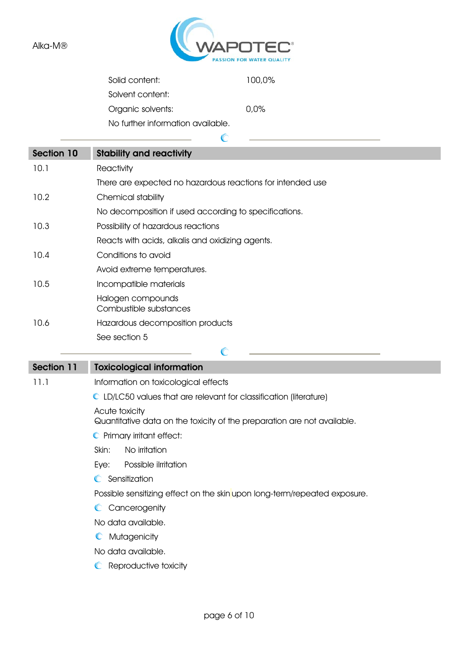

| Solid content:                    | 100,0%  |
|-----------------------------------|---------|
| Solvent content:                  |         |
| Organic solvents:                 | $0.0\%$ |
| No further information available. |         |
|                                   |         |

 $\mathbb{C}$ 

| Section 10 | <b>Stability and reactivity</b>                            |
|------------|------------------------------------------------------------|
| 10.1       | Reactivity                                                 |
|            | There are expected no hazardous reactions for intended use |
| 10.2       | Chemical stability                                         |
|            | No decomposition if used according to specifications.      |
| 10.3       | Possibility of hazardous reactions                         |
|            | Reacts with acids, alkalis and oxidizing agents.           |
| 10.4       | Conditions to avoid                                        |
|            | Avoid extreme temperatures.                                |
| 10.5       | Incompatible materials                                     |
|            | Halogen compounds<br>Combustible substances                |
| 10.6       | Hazardous decomposition products                           |
|            | See section 5                                              |
|            | $\sqrt{2}$                                                 |

| Section 11 | <b>Toxicological information</b> |
|------------|----------------------------------|

11.1 Information on toxicological effects

LD/LC50 values that are relevant for classification (literature)

Acute toxicity

Quantitative data on the toxicity of the preparation are not available.

- **C** Primary irritant effect:
- Skin: No irritation

Eye: Possible ilrritation

**C** Sensitization

Possible sensitizing effect on the skin upon long-term/repeated exposure.

C Cancerogenity

No data available.

**C** Mutagenicity

No data available.

**C** Reproductive toxicity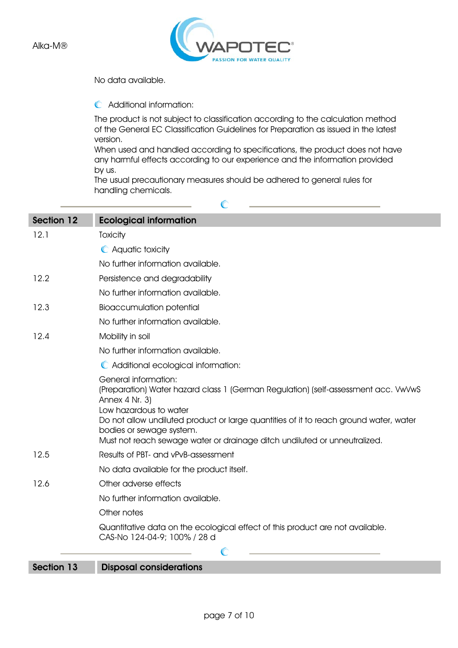

No data available.

Additional information:

The product is not subject to classification according to the calculation method of the General EC Classification Guidelines for Preparation as issued in the latest version.

When used and handled according to specifications, the product does not have any harmful effects according to our experience and the information provided by us.

The usual precautionary measures should be adhered to general rules for handling chemicals.

 $\mathbb{C}$ 

| <b>Section 12</b> | <b>Ecological information</b>                                                                                                                                                                                                                                                                                                                                   |
|-------------------|-----------------------------------------------------------------------------------------------------------------------------------------------------------------------------------------------------------------------------------------------------------------------------------------------------------------------------------------------------------------|
| 12.1              | Toxicity                                                                                                                                                                                                                                                                                                                                                        |
|                   | C Aquatic toxicity                                                                                                                                                                                                                                                                                                                                              |
|                   | No further information available.                                                                                                                                                                                                                                                                                                                               |
| 12.2              | Persistence and degradability                                                                                                                                                                                                                                                                                                                                   |
|                   | No further information available.                                                                                                                                                                                                                                                                                                                               |
| 12.3              | <b>Bioaccumulation potential</b>                                                                                                                                                                                                                                                                                                                                |
|                   | No further information available.                                                                                                                                                                                                                                                                                                                               |
| 12.4              | Mobility in soil                                                                                                                                                                                                                                                                                                                                                |
|                   | No further information available.                                                                                                                                                                                                                                                                                                                               |
|                   | C Additional ecological information:                                                                                                                                                                                                                                                                                                                            |
|                   | <b>General information:</b><br>(Preparation) Water hazard class 1 (German Regulation) (self-assessment acc. VwVwS<br>Annex 4 Nr. 3)<br>Low hazardous to water<br>Do not allow undiluted product or large quantities of it to reach ground water, water<br>bodies or sewage system.<br>Must not reach sewage water or drainage ditch undiluted or unneutralized. |
| 12.5              | Results of PBT- and vPvB-assessment                                                                                                                                                                                                                                                                                                                             |
|                   | No data available for the product itself.                                                                                                                                                                                                                                                                                                                       |
| 12.6              | Other adverse effects                                                                                                                                                                                                                                                                                                                                           |
|                   | No further information available.                                                                                                                                                                                                                                                                                                                               |
|                   | Other notes                                                                                                                                                                                                                                                                                                                                                     |
|                   | Quantitative data on the ecological effect of this product are not available.<br>CAS-No 124-04-9; 100% / 28 d                                                                                                                                                                                                                                                   |
|                   | C                                                                                                                                                                                                                                                                                                                                                               |
| Section 13        | <b>Disposal considerations</b>                                                                                                                                                                                                                                                                                                                                  |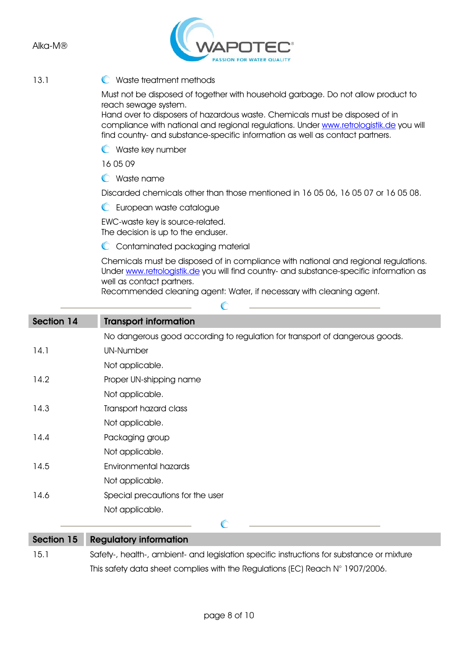

### 13.1 C Waste treatment methods

Must not be disposed of together with household garbage. Do not allow product to reach sewage system.

Hand over to disposers of hazardous waste. Chemicals must be disposed of in compliance with national and regional regulations. Under www.retrologistik.de you will find country- and substance-specific information as well as contact partners.

Waste key number

16 05 09

Waste name

Discarded chemicals other than those mentioned in 16 05 06, 16 05 07 or 16 05 08.

**C** European waste catalogue

EWC-waste key is source-related. The decision is up to the enduser.

C Contaminated packaging material

Chemicals must be disposed of in compliance with national and regional regulations. Under www.retrologistik.de you will find country- and substance-specific information as well as contact partners.

Recommended cleaning agent: Water, if necessary with cleaning agent.

C

| Section 14        | <b>Transport information</b>                                                |
|-------------------|-----------------------------------------------------------------------------|
|                   | No dangerous good according to regulation for transport of dangerous goods. |
| 14.1              | <b>UN-Number</b>                                                            |
|                   | Not applicable.                                                             |
| 14.2              | Proper UN-shipping name                                                     |
|                   | Not applicable.                                                             |
| 14.3              | Transport hazard class                                                      |
|                   | Not applicable.                                                             |
| 14.4              | Packaging group                                                             |
|                   | Not applicable.                                                             |
| 14.5              | Environmental hazards                                                       |
|                   | Not applicable.                                                             |
| 14.6              | Special precautions for the user                                            |
|                   | Not applicable.                                                             |
|                   | $\mathbb{C}$                                                                |
| <b>Section 15</b> | <b>Regulatory information</b>                                               |

## 15.1 Safety-, health-, ambient- and legislation specific instructions for substance or mixture This safety data sheet complies with the Regulations (EC) Reach N° 1907/2006.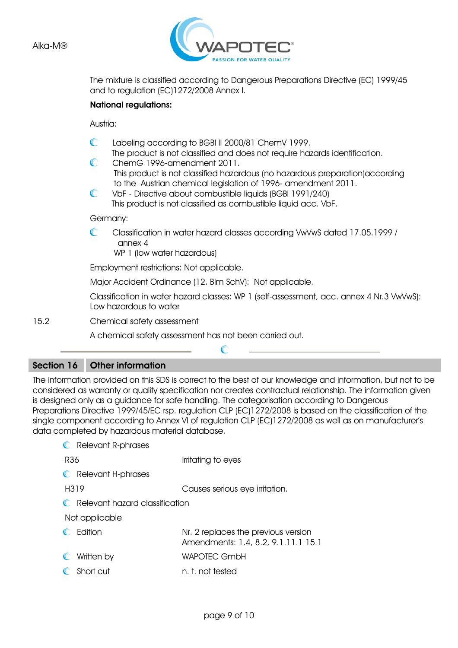

The mixture is classified according to Dangerous Preparations Directive (EC) 1999/45 and to regulation (EC)1272/2008 Annex I.

#### National regulations:

Austria:

- $\mathbb{C}$ Labeling according to BGBl II 2000/81 ChemV 1999.
- The product is not classified and does not require hazards identification.  $\subset$ ChemG 1996-amendment 2011.
- This product is not classified hazardous (no hazardous preparation)according to the Austrian chemical legislation of 1996- amendment 2011.<br>C VbE - Directive about combustible liquids (BGBL1991/240)
- VbF Directive about combustible liquids (BGBl 1991/240) This product is not classified as combustible liquid acc. VbF.

Germany:

 $\mathbb{C}$ Classification in water hazard classes according VwVwS dated 17.05.1999 / annex 4

WP 1 (low water hazardous)

Employment restrictions: Not applicable.

Major Accident Ordinance (12. Blm SchV): Not applicable.

Classification in water hazard classes: WP 1 (self-assessment, acc. annex 4 Nr.3 VwVwS): Low hazardous to water

15.2 Chemical safety assessment

A chemical safety assessment has not been carried out.

#### Section 16 Other information

The information provided on this SDS is correct to the best of our knowledge and information, but not to be considered as warranty or quality specification nor creates contractual relationship. The information given is designed only as a guidance for safe handling. The categorisation according to Dangerous Preparations Directive 1999/45/EC rsp. regulation CLP (EC)1272/2008 is based on the classification of the single component according to Annex VI of regulation CLP (EC)1272/2008 as well as on manufacturer's data completed by hazardous material database.

 $\mathcal C$ 

| <b>C</b> Relevant R-phrases      |                                                                            |
|----------------------------------|----------------------------------------------------------------------------|
| R36                              | Irritating to eyes                                                         |
| <b>C</b> Relevant H-phrases      |                                                                            |
| H319                             | Causes serious eye irritation.                                             |
| C Relevant hazard classification |                                                                            |
| Not applicable                   |                                                                            |
| C Fdition                        | Nr. 2 replaces the previous version<br>Amendments: 1.4, 8.2, 9.1.11.1 15.1 |
| Written by                       | <b>WAPOTEC GmbH</b>                                                        |
| C Short cut                      | n. t. not tested                                                           |
|                                  |                                                                            |